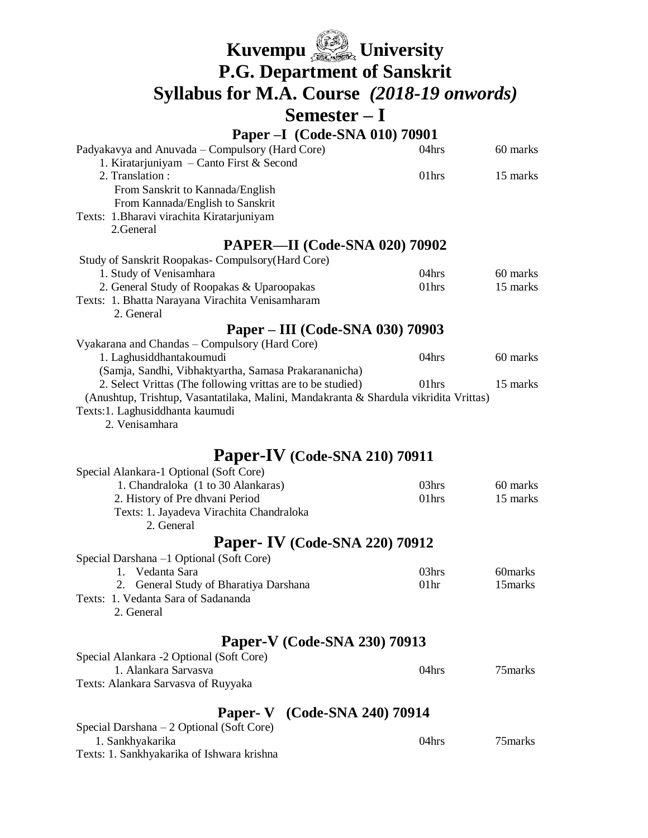| Kuvempu <b>State</b> University                                                                                                                      |                  |                      |
|------------------------------------------------------------------------------------------------------------------------------------------------------|------------------|----------------------|
| <b>P.G. Department of Sanskrit</b>                                                                                                                   |                  |                      |
| Syllabus for M.A. Course (2018-19 onwords)                                                                                                           |                  |                      |
| $Semester-I$                                                                                                                                         |                  |                      |
| Paper - I (Code-SNA 010) 70901                                                                                                                       |                  |                      |
| Padyakavya and Anuvada – Compulsory (Hard Core)                                                                                                      | 04hrs            | 60 marks             |
| 1. Kiratarjuniyam – Canto First & Second<br>2. Translation:                                                                                          | 01hrs            | 15 marks             |
| From Sanskrit to Kannada/English                                                                                                                     |                  |                      |
| From Kannada/English to Sanskrit                                                                                                                     |                  |                      |
| Texts: 1. Bharavi virachita Kiratarjuniyam<br>2. General                                                                                             |                  |                      |
| <b>PAPER—II</b> (Code-SNA 020) 70902                                                                                                                 |                  |                      |
| Study of Sanskrit Roopakas- Compulsory (Hard Core)                                                                                                   |                  |                      |
| 1. Study of Venisamhara                                                                                                                              | 04hrs            | 60 marks             |
| 2. General Study of Roopakas & Uparoopakas                                                                                                           | 01hrs            | 15 marks             |
| Texts: 1. Bhatta Narayana Virachita Venisamharam<br>2. General                                                                                       |                  |                      |
| Paper – III (Code-SNA 030) 70903                                                                                                                     |                  |                      |
| Vyakarana and Chandas - Compulsory (Hard Core)                                                                                                       |                  |                      |
| 1. Laghusiddhantakoumudi                                                                                                                             | 04hrs            | 60 marks             |
| (Samja, Sandhi, Vibhaktyartha, Samasa Prakarananicha)                                                                                                |                  |                      |
| 2. Select Vrittas (The following vrittas are to be studied)<br>(Anushtup, Trishtup, Vasantatilaka, Malini, Mandakranta & Shardula vikridita Vrittas) | 01hrs            | 15 marks             |
| Texts:1. Laghusiddhanta kaumudi                                                                                                                      |                  |                      |
| 2. Venisamhara                                                                                                                                       |                  |                      |
|                                                                                                                                                      |                  |                      |
| <b>Paper-IV</b> (Code-SNA 210) 70911                                                                                                                 |                  |                      |
| Special Alankara-1 Optional (Soft Core)                                                                                                              |                  |                      |
| 1. Chandraloka (1 to 30 Alankaras)                                                                                                                   | 03hrs<br>01hrs   | 60 marks<br>15 marks |
| 2. History of Pre dhvani Period<br>Texts: 1. Jayadeva Virachita Chandraloka                                                                          |                  |                      |
| 2. General                                                                                                                                           |                  |                      |
| <b>Paper- IV</b> (Code-SNA 220) 70912                                                                                                                |                  |                      |
| Special Darshana -1 Optional (Soft Core)                                                                                                             |                  |                      |
| 1. Vedanta Sara                                                                                                                                      | 03hrs            | 60marks              |
| General Study of Bharatiya Darshana<br>2.                                                                                                            | 01 <sub>hr</sub> | 15marks              |
| Texts: 1. Vedanta Sara of Sadananda                                                                                                                  |                  |                      |
| 2. General                                                                                                                                           |                  |                      |
| Paper-V (Code-SNA 230) 70913                                                                                                                         |                  |                      |
| Special Alankara -2 Optional (Soft Core)                                                                                                             |                  |                      |
| 1. Alankara Sarvasva                                                                                                                                 | 04hrs            | 75 marks             |
| Texts: Alankara Sarvasva of Ruyyaka                                                                                                                  |                  |                      |
| <b>Paper- V</b> (Code-SNA 240) 70914                                                                                                                 |                  |                      |
| Special Darshana - 2 Optional (Soft Core)                                                                                                            |                  |                      |
| 1. Sankhyakarika                                                                                                                                     | 04hrs            | 75marks              |
| Texts: 1. Sankhyakarika of Ishwara krishna                                                                                                           |                  |                      |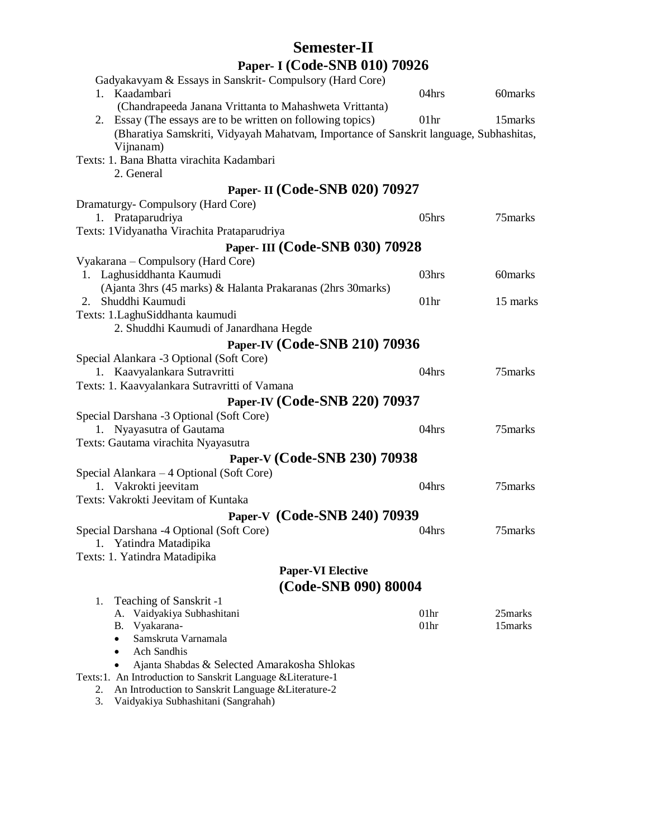## **Semester-II Paper- I (Code-SNB 010) 70926**

| Gadyakavyam & Essays in Sanskrit- Compulsory (Hard Core)                                                                |                  |          |
|-------------------------------------------------------------------------------------------------------------------------|------------------|----------|
| 1. Kaadambari                                                                                                           | 04hrs            | 60marks  |
| (Chandrapeeda Janana Vrittanta to Mahashweta Vrittanta)                                                                 |                  |          |
| 2. Essay (The essays are to be written on following topics)                                                             | 01 <sub>hr</sub> | 15marks  |
| (Bharatiya Samskriti, Vidyayah Mahatvam, Importance of Sanskrit language, Subhashitas,                                  |                  |          |
| Vijnanam)                                                                                                               |                  |          |
| Texts: 1. Bana Bhatta virachita Kadambari                                                                               |                  |          |
| 2. General                                                                                                              |                  |          |
| Paper- II (Code-SNB 020) 70927                                                                                          |                  |          |
| Dramaturgy-Compulsory (Hard Core)                                                                                       |                  |          |
| 1. Prataparudriya                                                                                                       | 05hrs            | 75 marks |
| Texts: 1 Vidyanatha Virachita Prataparudriya                                                                            |                  |          |
| Paper- III (Code-SNB 030) 70928                                                                                         |                  |          |
| Vyakarana – Compulsory (Hard Core)                                                                                      |                  |          |
| 1. Laghusiddhanta Kaumudi                                                                                               | 03hrs            | 60marks  |
| (Ajanta 3hrs (45 marks) & Halanta Prakaranas (2hrs 30marks)                                                             |                  |          |
| 2. Shuddhi Kaumudi                                                                                                      | 01 <sub>hr</sub> | 15 marks |
| Texts: 1. LaghuSiddhanta kaumudi                                                                                        |                  |          |
| 2. Shuddhi Kaumudi of Janardhana Hegde                                                                                  |                  |          |
| Paper-IV (Code-SNB 210) 70936                                                                                           |                  |          |
| Special Alankara -3 Optional (Soft Core)                                                                                |                  |          |
| 1. Kaavyalankara Sutravritti                                                                                            | 04hrs            | 75marks  |
| Texts: 1. Kaavyalankara Sutravritti of Vamana                                                                           |                  |          |
| Paper-IV (Code-SNB 220) 70937                                                                                           |                  |          |
| Special Darshana -3 Optional (Soft Core)                                                                                |                  |          |
| 1. Nyayasutra of Gautama                                                                                                | 04hrs            | 75marks  |
| Texts: Gautama virachita Nyayasutra                                                                                     |                  |          |
| Paper-V (Code-SNB 230) 70938                                                                                            |                  |          |
| Special Alankara - 4 Optional (Soft Core)                                                                               |                  |          |
| 1. Vakrokti jeevitam                                                                                                    | 04hrs            | 75marks  |
| Texts: Vakrokti Jeevitam of Kuntaka                                                                                     |                  |          |
| Paper-V (Code-SNB 240) 70939                                                                                            |                  |          |
| Special Darshana -4 Optional (Soft Core)                                                                                | 04hrs            | 75marks  |
| 1. Yatindra Matadipika                                                                                                  |                  |          |
| Texts: 1. Yatindra Matadipika                                                                                           |                  |          |
| <b>Paper-VI Elective</b>                                                                                                |                  |          |
| (Code-SNB 090) 80004                                                                                                    |                  |          |
| Teaching of Sanskrit -1<br>1.                                                                                           |                  |          |
| Vaidyakiya Subhashitani<br>A.                                                                                           | 01hr             | 25marks  |
| Vyakarana-<br>В.                                                                                                        | 01 <sub>hr</sub> | 15 marks |
| Samskruta Varnamala<br><b>Ach Sandhis</b><br>$\bullet$                                                                  |                  |          |
| Ajanta Shabdas & Selected Amarakosha Shlokas                                                                            |                  |          |
| Texts:1. An Introduction to Sanskrit Language & Literature-1                                                            |                  |          |
| An Introduction to Sanskrit Language & Literature-2<br>2.                                                               |                  |          |
| $\overline{V}_{\alpha}$ dealing $\overline{C}_{\alpha}$ behave the $(\overline{C}_{\alpha}$ and $\overline{C}_{\alpha}$ |                  |          |

3. Vaidyakiya Subhashitani (Sangrahah)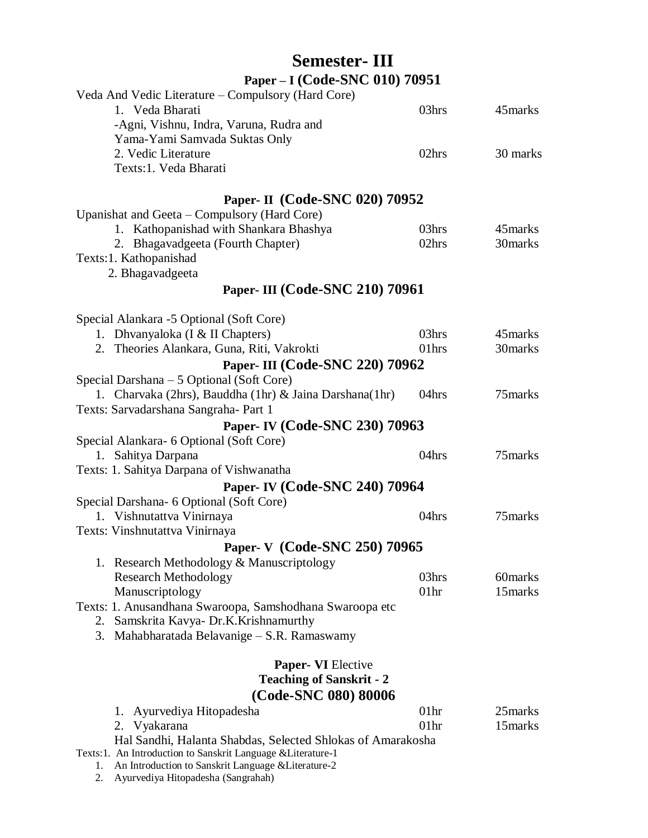## **Semester- III Paper – I (Code-SNC 010) 70951**

| Veda And Vedic Literature – Compulsory (Hard Core)           |                   |          |
|--------------------------------------------------------------|-------------------|----------|
| 1. Veda Bharati                                              | 03hrs             | 45 marks |
| -Agni, Vishnu, Indra, Varuna, Rudra and                      |                   |          |
| Yama-Yami Samvada Suktas Only                                |                   |          |
| 2. Vedic Literature                                          | 02hrs             | 30 marks |
| Texts:1. Veda Bharati                                        |                   |          |
|                                                              |                   |          |
| Paper- II (Code-SNC 020) 70952                               |                   |          |
| Upanishat and Geeta – Compulsory (Hard Core)                 |                   |          |
| 1. Kathopanishad with Shankara Bhashya                       | 03 <sub>hrs</sub> | 45 marks |
| 2. Bhagavadgeeta (Fourth Chapter)                            | 02hrs             | 30marks  |
| Texts:1. Kathopanishad                                       |                   |          |
| 2. Bhagavadgeeta                                             |                   |          |
| Paper- III (Code-SNC 210) 70961                              |                   |          |
|                                                              |                   |          |
| Special Alankara -5 Optional (Soft Core)                     |                   |          |
| 1. Dhvanyaloka (I & II Chapters)                             | 03hrs             | 45 marks |
| 2. Theories Alankara, Guna, Riti, Vakrokti                   | 01hrs             | 30marks  |
| Paper- III (Code-SNC 220) 70962                              |                   |          |
| Special Darshana – 5 Optional (Soft Core)                    |                   |          |
| 1. Charvaka (2hrs), Bauddha (1hr) & Jaina Darshana(1hr)      | 04hrs             | 75 marks |
| Texts: Sarvadarshana Sangraha- Part 1                        |                   |          |
| Paper- IV (Code-SNC 230) 70963                               |                   |          |
| Special Alankara- 6 Optional (Soft Core)                     |                   |          |
| 1. Sahitya Darpana                                           | 04hrs             | 75 marks |
| Texts: 1. Sahitya Darpana of Vishwanatha                     |                   |          |
| Paper- IV (Code-SNC 240) 70964                               |                   |          |
| Special Darshana- 6 Optional (Soft Core)                     |                   |          |
| 1. Vishnutattva Vinirnaya                                    | 04hrs             | 75 marks |
| Texts: Vinshnutattva Vinirnaya                               |                   |          |
| Paper- V (Code-SNC 250) 70965                                |                   |          |
| 1. Research Methodology & Manuscriptology                    |                   |          |
| <b>Research Methodology</b>                                  | 03hrs             | 60marks  |
| Manuscriptology                                              | 01 <sub>hr</sub>  | 15marks  |
| Texts: 1. Anusandhana Swaroopa, Samshodhana Swaroopa etc     |                   |          |
| Samskrita Kavya- Dr.K.Krishnamurthy<br>2.                    |                   |          |
| 3. Mahabharatada Belavanige – S.R. Ramaswamy                 |                   |          |
|                                                              |                   |          |
| <b>Paper- VI Elective</b>                                    |                   |          |
| <b>Teaching of Sanskrit - 2</b>                              |                   |          |
| (Code-SNC 080) 80006                                         |                   |          |
| Ayurvediya Hitopadesha<br>1.                                 | 01 <sub>hr</sub>  | 25 marks |
| 2. Vyakarana                                                 | 01 <sub>hr</sub>  | 15marks  |
| Hal Sandhi, Halanta Shabdas, Selected Shlokas of Amarakosha  |                   |          |
| Texts:1. An Introduction to Sanskrit Language & Literature-1 |                   |          |
| An Introduction to Sanskrit Language & Literature-2<br>ı.    |                   |          |

2. Ayurvediya Hitopadesha (Sangrahah)